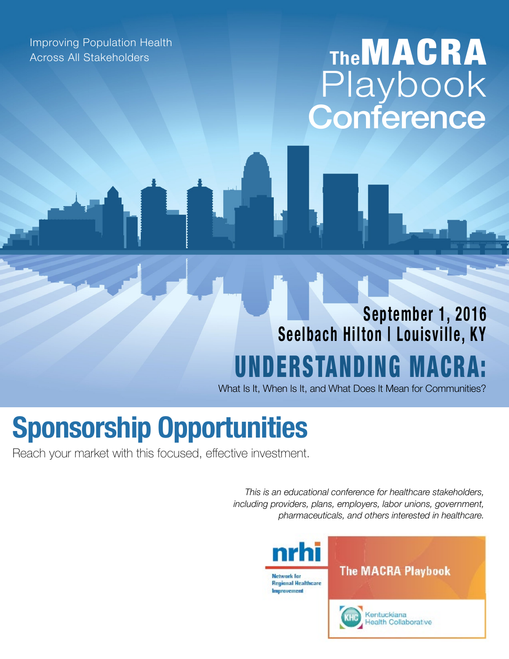Improving Population Health Across All Stakeholders

## **The**MACRA Playbook **Conference**

## **September 1, 2016 Seelbach Hilton | Louisville, KY** UNDERSTANDING MACR

What Is It, When Is It, and What Does It Mean for Communities?

# **Sponsorship Opportunities**

Reach your market with this focused, effective investment.

*This is an educational conference for healthcare stakeholders, including providers, plans, employers, labor unions, government, pharmaceuticals, and others interested in healthcare.*



**The MACRA Playbook** 



Kentuckiana ealth Collaborative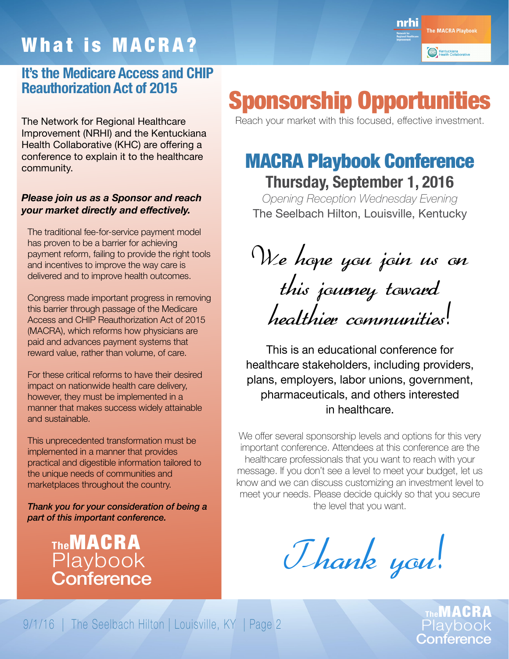## What is MACRA?

#### **It's the Medicare Access and CHIP Reauthorization Act of 2015**

The Network for Regional Healthcare Improvement (NRHI) and the Kentuckiana Health Collaborative (KHC) are offering a conference to explain it to the healthcare community.

#### *Please join us as a Sponsor and reach your market directly and effectively.*

The traditional fee-for-service payment model has proven to be a barrier for achieving payment reform, failing to provide the right tools and incentives to improve the way care is delivered and to improve health outcomes.

Congress made important progress in removing this barrier through passage of the Medicare Access and CHIP Reauthorization Act of 2015 (MACRA), which reforms how physicians are paid and advances payment systems that reward value, rather than volume, of care.

For these critical reforms to have their desired impact on nationwide health care delivery, however, they must be implemented in a manner that makes success widely attainable and sustainable.

This unprecedented transformation must be implemented in a manner that provides practical and digestible information tailored to the unique needs of communities and marketplaces throughout the country.

*Thank you for your consideration of being a part of this important conference.*



nrhi The MACRA Playbook Kentuckiana<br>Health Collaborativ

## Sponsorship Opportunities

Reach your market with this focused, effective investment.

#### MACRA Playbook Conference **Thursday, September 1, 2016**

*Opening Reception Wednesday Evening*  The Seelbach Hilton, Louisville, Kentucky

We hope you join us on this journey toward healthier communities!

This is an educational conference for healthcare stakeholders, including providers, plans, employers, labor unions, government, pharmaceuticals, and others interested in healthcare.

We offer several sponsorship levels and options for this very important conference. Attendees at this conference are the healthcare professionals that you want to reach with your message. If you don't see a level to meet your budget, let us know and we can discuss customizing an investment level to meet your needs. Please decide quickly so that you secure the level that you want.

Thank you!

**The**MACRA Playbook Conference

9/1/16 | The Seelbach Hilton | Louisville, KY | Page 2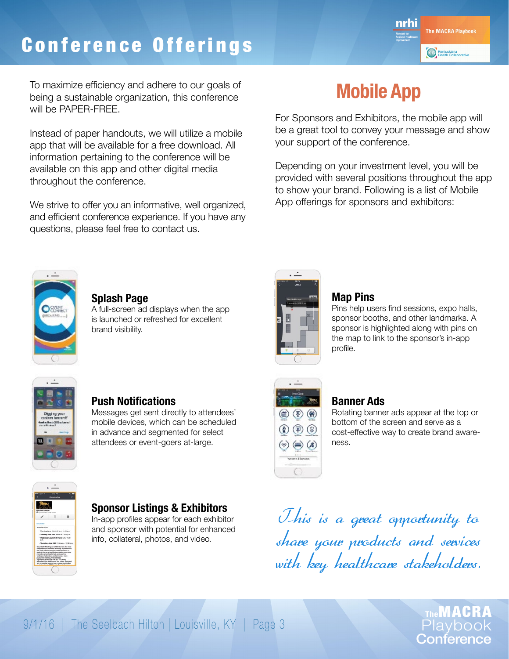## Conference Offerings



To maximize efficiency and adhere to our goals of being a sustainable organization, this conference will be PAPER-FREE.

Instead of paper handouts, we will utilize a mobile app that will be available for a free download. All information pertaining to the conference will be available on this app and other digital media throughout the conference.

We strive to offer you an informative, well organized, and efficient conference experience. If you have any questions, please feel free to contact us.

## **Mobile App**

For Sponsors and Exhibitors, the mobile app will be a great tool to convey your message and show your support of the conference.

Depending on your investment level, you will be provided with several positions throughout the app to show your brand. Following is a list of Mobile App offerings for sponsors and exhibitors:



#### **Splash Page**

A full-screen ad displays when the app is launched or refreshed for excellent brand visibility.



#### **Map Pins**

Pins help users find sessions, expo halls, sponsor booths, and other landmarks. A sponsor is highlighted along with pins on the map to link to the sponsor's in-app profile.



#### **Push Notifications**

Messages get sent directly to attendees' mobile devices, which can be scheduled in advance and segmented for select attendees or event-goers at-large.

**Sponsor Listings & Exhibitors** In-app profiles appear for each exhibitor and sponsor with potential for enhanced info, collateral, photos, and video.



#### **Banner Ads**

Rotating banner ads appear at the top or bottom of the screen and serve as a cost-effective way to create brand awareness.

This is a great opportunity to share your products and services with key healthcare stakeholders.

> **The**MACRA Playbook **Conference**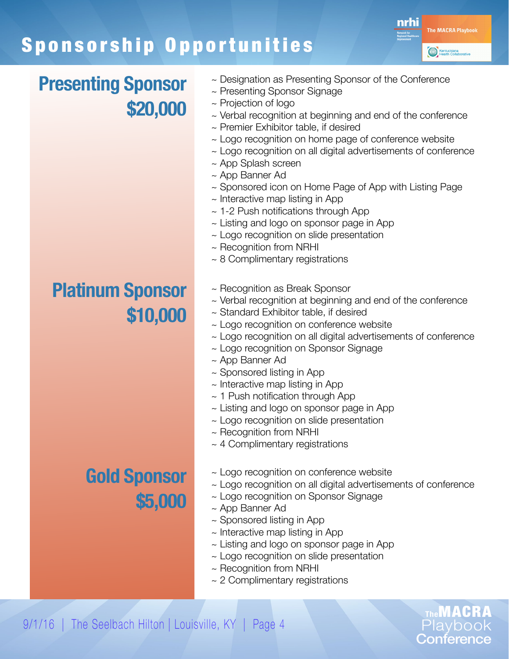## Sponsorship Opportunities



**The**MACRA Playbook Conference

#### **Presenting Sponsor \$20,000**

#### **Platinum Sponsor \$10,000**

## **Gold Sponsor \$5,000**

- ~ Designation as Presenting Sponsor of the Conference
- ~ Presenting Sponsor Signage
- ~ Projection of logo
- $\sim$  Verbal recognition at beginning and end of the conference
- ~ Premier Exhibitor table, if desired
- ~ Logo recognition on home page of conference website
- ~ Logo recognition on all digital advertisements of conference
- ~ App Splash screen
- ~ App Banner Ad
- ~ Sponsored icon on Home Page of App with Listing Page
- ~ Interactive map listing in App
- $\sim$  1-2 Push notifications through App
- ~ Listing and logo on sponsor page in App
- ~ Logo recognition on slide presentation
- ~ Recognition from NRHI
- ~ 8 Complimentary registrations
- ~ Recognition as Break Sponsor
- ~ Verbal recognition at beginning and end of the conference
- ~ Standard Exhibitor table, if desired
- ~ Logo recognition on conference website
- ~ Logo recognition on all digital advertisements of conference
- ~ Logo recognition on Sponsor Signage
- ~ App Banner Ad
- ~ Sponsored listing in App
- ~ Interactive map listing in App
- $\sim$  1 Push notification through App
- $\sim$  Listing and logo on sponsor page in App
- ~ Logo recognition on slide presentation
- ~ Recognition from NRHI
- ~ 4 Complimentary registrations
- ~ Logo recognition on conference website
- ~ Logo recognition on all digital advertisements of conference
- ~ Logo recognition on Sponsor Signage
- ~ App Banner Ad
- ~ Sponsored listing in App
- $\sim$  Interactive map listing in App
- ~ Listing and logo on sponsor page in App
- ~ Logo recognition on slide presentation
- ~ Recognition from NRHI
- ~ 2 Complimentary registrations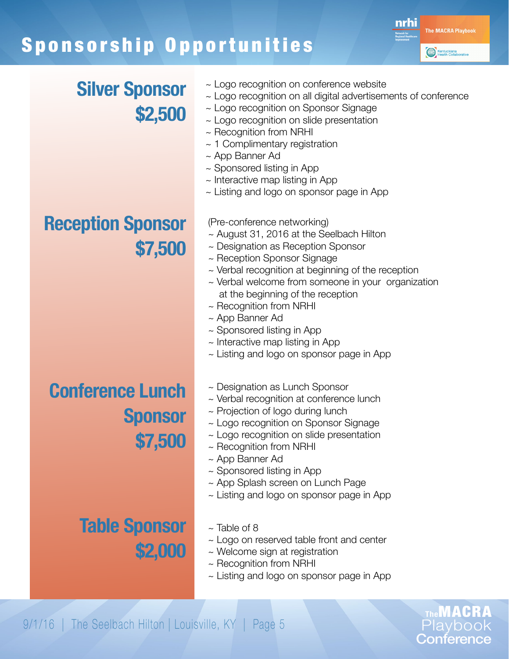## Sponsorship Opportunities



**The**MACRA Playbook Conference

#### **Silver Sponsor \$2,500**

- ~ Logo recognition on conference website
- ~ Logo recognition on all digital advertisements of conference
- ~ Logo recognition on Sponsor Signage
- ~ Logo recognition on slide presentation
- ~ Recognition from NRHI
- $\sim$  1 Complimentary registration
- ~ App Banner Ad
- ~ Sponsored listing in App
- $\sim$  Interactive map listing in App
- ~ Listing and logo on sponsor page in App

(Pre-conference networking)

- ~ August 31, 2016 at the Seelbach Hilton
- ~ Designation as Reception Sponsor
- ~ Reception Sponsor Signage
- ~ Verbal recognition at beginning of the reception
- ~ Verbal welcome from someone in your organization at the beginning of the reception
- ~ Recognition from NRHI
- ~ App Banner Ad
- ~ Sponsored listing in App
- $\sim$  Interactive map listing in App
- ~ Listing and logo on sponsor page in App

**Conference Lunch Sponsor \$7,500**

**Table Sponsor**

- ~ Designation as Lunch Sponsor
- ~ Verbal recognition at conference lunch
- ~ Projection of logo during lunch
- ~ Logo recognition on Sponsor Signage
- ~ Logo recognition on slide presentation
- ~ Recognition from NRHI
- ~ App Banner Ad
- ~ Sponsored listing in App
- ~ App Splash screen on Lunch Page
- ~ Listing and logo on sponsor page in App
- $\sim$  Table of 8
- ~ Logo on reserved table front and center
- ~ Welcome sign at registration
- ~ Recognition from NRHI
- ~ Listing and logo on sponsor page in App

**\$2,000**

## **Reception Sponsor \$7,500**